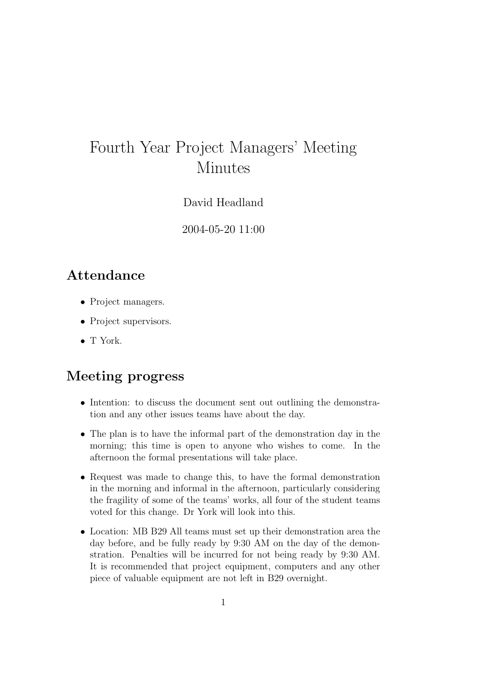## Fourth Year Project Managers' Meeting Minutes

David Headland

2004-05-20 11:00

## Attendance

- Project managers.
- Project supervisors.
- T York.

## Meeting progress

- Intention: to discuss the document sent out outlining the demonstration and any other issues teams have about the day.
- The plan is to have the informal part of the demonstration day in the morning; this time is open to anyone who wishes to come. In the afternoon the formal presentations will take place.
- Request was made to change this, to have the formal demonstration in the morning and informal in the afternoon, particularly considering the fragility of some of the teams' works, all four of the student teams voted for this change. Dr York will look into this.
- Location: MB B29 All teams must set up their demonstration area the day before, and be fully ready by 9:30 AM on the day of the demonstration. Penalties will be incurred for not being ready by 9:30 AM. It is recommended that project equipment, computers and any other piece of valuable equipment are not left in B29 overnight.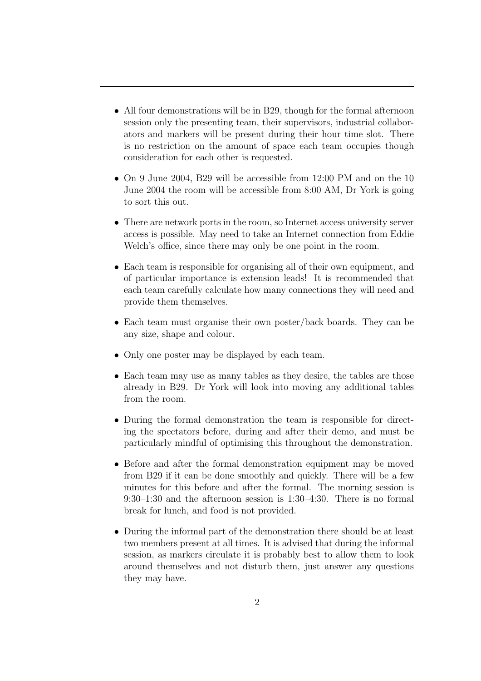- All four demonstrations will be in B29, though for the formal afternoon session only the presenting team, their supervisors, industrial collaborators and markers will be present during their hour time slot. There is no restriction on the amount of space each team occupies though consideration for each other is requested.
- On 9 June 2004, B29 will be accessible from 12:00 PM and on the 10 June 2004 the room will be accessible from 8:00 AM, Dr York is going to sort this out.
- There are network ports in the room, so Internet access university server access is possible. May need to take an Internet connection from Eddie Welch's office, since there may only be one point in the room.
- Each team is responsible for organising all of their own equipment, and of particular importance is extension leads! It is recommended that each team carefully calculate how many connections they will need and provide them themselves.
- Each team must organise their own poster/back boards. They can be any size, shape and colour.
- Only one poster may be displayed by each team.
- Each team may use as many tables as they desire, the tables are those already in B29. Dr York will look into moving any additional tables from the room.
- During the formal demonstration the team is responsible for directing the spectators before, during and after their demo, and must be particularly mindful of optimising this throughout the demonstration.
- Before and after the formal demonstration equipment may be moved from B29 if it can be done smoothly and quickly. There will be a few minutes for this before and after the formal. The morning session is 9:30–1:30 and the afternoon session is 1:30–4:30. There is no formal break for lunch, and food is not provided.
- During the informal part of the demonstration there should be at least two members present at all times. It is advised that during the informal session, as markers circulate it is probably best to allow them to look around themselves and not disturb them, just answer any questions they may have.